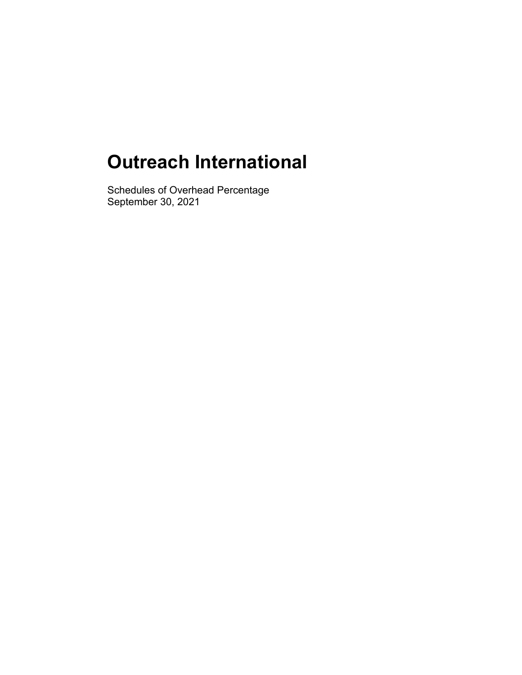## **Outreach International**

Schedules of Overhead Percentage September 30, 2021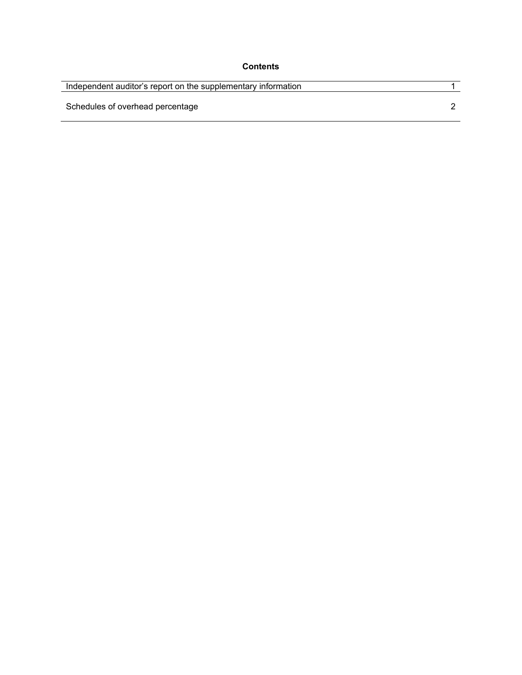| <b>Contents</b> |
|-----------------|
|-----------------|

| Independent auditor's report on the supplementary information |  |
|---------------------------------------------------------------|--|
| Schedules of overhead percentage                              |  |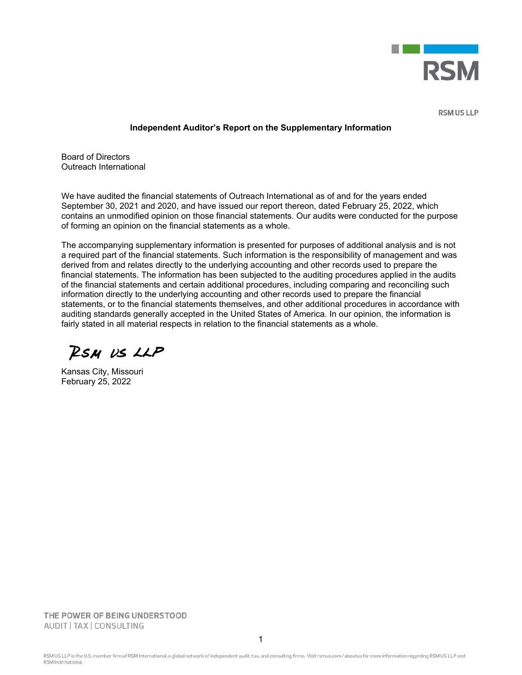

**RSM US LLP** 

## **Independent Auditor's Report on the Supplementary Information**

Board of Directors Outreach International

We have audited the financial statements of Outreach International as of and for the years ended September 30, 2021 and 2020, and have issued our report thereon, dated February 25, 2022, which contains an unmodified opinion on those financial statements. Our audits were conducted for the purpose of forming an opinion on the financial statements as a whole.

The accompanying supplementary information is presented for purposes of additional analysis and is not a required part of the financial statements. Such information is the responsibility of management and was derived from and relates directly to the underlying accounting and other records used to prepare the financial statements. The information has been subjected to the auditing procedures applied in the audits of the financial statements and certain additional procedures, including comparing and reconciling such information directly to the underlying accounting and other records used to prepare the financial statements, or to the financial statements themselves, and other additional procedures in accordance with auditing standards generally accepted in the United States of America. In our opinion, the information is fairly stated in all material respects in relation to the financial statements as a whole.

RSM US LLP

Kansas City, Missouri February 25, 2022

THE POWER OF BEING UNDERSTOOD AUDIT | TAX | CONSULTING